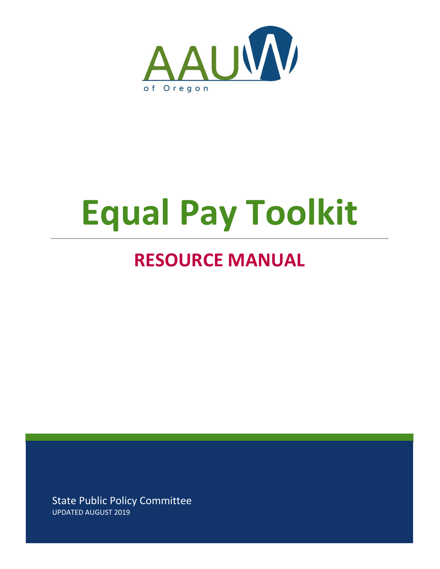

# **Equal Pay Toolkit**

# **RESOURCE MANUAL**

State Public Policy Committee UPDATED AUGUST 2019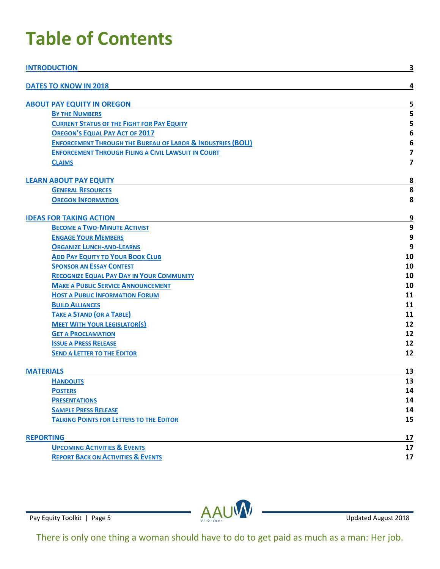# **Table of Contents**

| <b>INTRODUCTION</b>                                                    | <u>3</u>                |
|------------------------------------------------------------------------|-------------------------|
| <b>DATES TO KNOW IN 2018</b>                                           | 4                       |
| <b>ABOUT PAY EQUITY IN OREGON</b>                                      | 5                       |
| <b>BY THE NUMBERS</b>                                                  | 5                       |
| <b>CURRENT STATUS OF THE FIGHT FOR PAY EQUITY</b>                      | 5                       |
| <b>OREGON'S EQUAL PAY ACT OF 2017</b>                                  | 6                       |
| <b>ENFORCEMENT THROUGH THE BUREAU OF LABOR &amp; INDUSTRIES (BOLI)</b> | 6                       |
| <b>ENFORCEMENT THROUGH FILING A CIVIL LAWSUIT IN COURT</b>             | $\overline{\mathbf{z}}$ |
| <b>CLAIMS</b>                                                          | 7                       |
| <b>LEARN ABOUT PAY EQUITY</b>                                          | $\overline{\mathbf{8}}$ |
| <b>GENERAL RESOURCES</b>                                               | 8                       |
| <b>OREGON INFORMATION</b>                                              | 8                       |
| <b>IDEAS FOR TAKING ACTION</b>                                         | $\overline{9}$          |
| <b>BECOME A TWO-MINUTE ACTIVIST</b>                                    | 9                       |
| <b>ENGAGE YOUR MEMBERS</b>                                             | 9                       |
| <b>ORGANIZE LUNCH-AND-LEARNS</b>                                       | 9                       |
| <b>ADD PAY EQUITY TO YOUR BOOK CLUB</b>                                | 10                      |
| <b>SPONSOR AN ESSAY CONTEST</b>                                        | 10                      |
| <b>RECOGNIZE EQUAL PAY DAY IN YOUR COMMUNITY</b>                       | 10                      |
| <b>MAKE A PUBLIC SERVICE ANNOUNCEMENT</b>                              | 10                      |
| <b>HOST A PUBLIC INFORMATION FORUM</b>                                 | 11                      |
| <b>BUILD ALLIANCES</b>                                                 | 11                      |
| <b>TAKE A STAND (OR A TABLE)</b>                                       | 11                      |
| <b>MEET WITH YOUR LEGISLATOR(S)</b>                                    | 12                      |
| <b>GET A PROCLAMATION</b>                                              | 12                      |
| <b>ISSUE A PRESS RELEASE</b>                                           | 12                      |
| <b>SEND A LETTER TO THE EDITOR</b>                                     | 12                      |
| <b>MATERIALS</b>                                                       | <u>13</u>               |
| <b>HANDOUTS</b>                                                        | 13                      |
| <b>POSTERS</b>                                                         | 14                      |
| <b>PRESENTATIONS</b>                                                   | 14                      |
| <b>SAMPLE PRESS RELEASE</b>                                            | 14                      |
| <b>TALKING POINTS FOR LETTERS TO THE EDITOR</b>                        | 15                      |
| <b>REPORTING</b>                                                       | 17                      |
| <b>UPCOMING ACTIVITIES &amp; EVENTS</b>                                | 17                      |
| <b>REPORT BACK ON ACTIVITIES &amp; EVENTS</b>                          | 17                      |

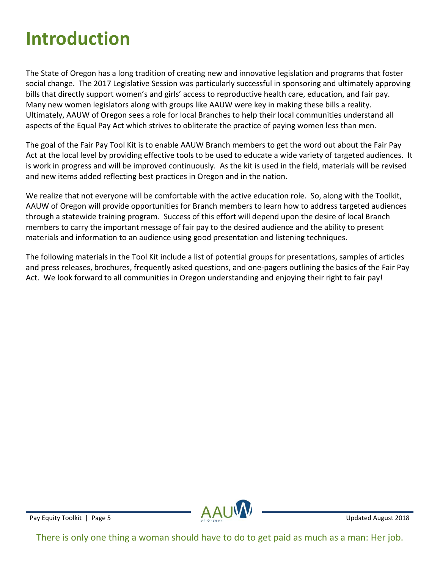# <span id="page-2-0"></span>**Introduction**

The State of Oregon has a long tradition of creating new and innovative legislation and programs that foster social change. The 2017 Legislative Session was particularly successful in sponsoring and ultimately approving bills that directly support women's and girls' access to reproductive health care, education, and fair pay. Many new women legislators along with groups like AAUW were key in making these bills a reality. Ultimately, AAUW of Oregon sees a role for local Branches to help their local communities understand all aspects of the Equal Pay Act which strives to obliterate the practice of paying women less than men.

The goal of the Fair Pay Tool Kit is to enable AAUW Branch members to get the word out about the Fair Pay Act at the local level by providing effective tools to be used to educate a wide variety of targeted audiences. It is work in progress and will be improved continuously. As the kit is used in the field, materials will be revised and new items added reflecting best practices in Oregon and in the nation.

We realize that not everyone will be comfortable with the active education role. So, along with the Toolkit, AAUW of Oregon will provide opportunities for Branch members to learn how to address targeted audiences through a statewide training program. Success of this effort will depend upon the desire of local Branch members to carry the important message of fair pay to the desired audience and the ability to present materials and information to an audience using good presentation and listening techniques.

The following materials in the Tool Kit include a list of potential groups for presentations, samples of articles and press releases, brochures, frequently asked questions, and one-pagers outlining the basics of the Fair Pay Act. We look forward to all communities in Oregon understanding and enjoying their right to fair pay!

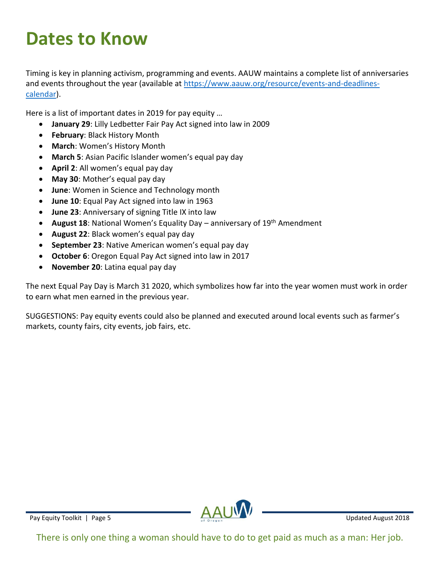# <span id="page-3-0"></span>**Dates to Know**

Timing is key in planning activism, programming and events. AAUW maintains a complete list of anniversaries and events throughout the year (available a[t https://www.aauw.org/resource/events-and-deadlines](about:blank)[calendar\)](about:blank).

Here is a list of important dates in 2019 for pay equity …

- **January 29**: Lilly Ledbetter Fair Pay Act signed into law in 2009
- **February**: Black History Month
- **March**: Women's History Month
- **March 5**: Asian Pacific Islander women's equal pay day
- **April 2**: All women's equal pay day
- **May 30**: Mother's equal pay day
- **June**: Women in Science and Technology month
- **June 10**: Equal Pay Act signed into law in 1963
- **June 23**: Anniversary of signing Title IX into law
- August 18: National Women's Equality Day anniversary of 19<sup>th</sup> Amendment
- **August 22**: Black women's equal pay day
- **September 23**: Native American women's equal pay day
- **October 6**: Oregon Equal Pay Act signed into law in 2017
- **November 20**: Latina equal pay day

The next Equal Pay Day is March 31 2020, which symbolizes how far into the year women must work in order to earn what men earned in the previous year.

SUGGESTIONS: Pay equity events could also be planned and executed around local events such as farmer's markets, county fairs, city events, job fairs, etc.

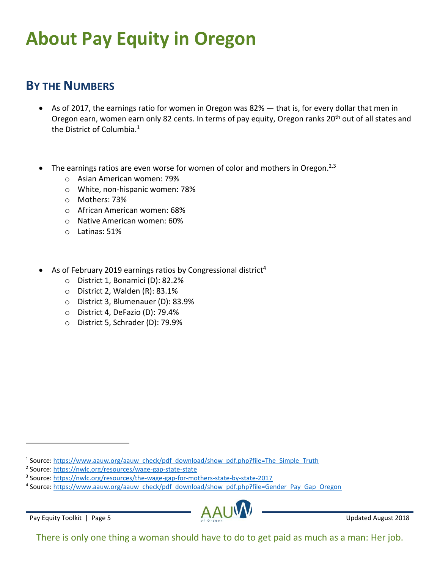# <span id="page-4-0"></span>**About Pay Equity in Oregon**

### <span id="page-4-1"></span>**BY THE NUMBERS**

- As of 2017, the earnings ratio for women in Oregon was 82% that is, for every dollar that men in Oregon earn, women earn only 82 cents. In terms of pay equity, Oregon ranks 20<sup>th</sup> out of all states and the District of Columbia.<sup>1</sup>
- $\bullet$  The earnings ratios are even worse for women of color and mothers in Oregon.<sup>2,3</sup>
	- o Asian American women: 79%
	- o White, non-hispanic women: 78%
	- o Mothers: 73%
	- o African American women: 68%
	- o Native American women: 60%
	- o Latinas: 51%
- <span id="page-4-2"></span>• As of February 2019 earnings ratios by Congressional district<sup>4</sup>
	- o District 1, Bonamici (D): 82.2%
	- o District 2, Walden (R): 83.1%
	- o District 3, Blumenauer (D): 83.9%
	- o District 4, DeFazio (D): 79.4%
	- o District 5, Schrader (D): 79.9%

<sup>&</sup>lt;sup>4</sup> Source: [https://www.aauw.org/aauw\\_check/pdf\\_download/show\\_pdf.php?file=Gender\\_Pay\\_Gap\\_Oregon](about:blank)



<sup>&</sup>lt;sup>1</sup> Source: [https://www.aauw.org/aauw\\_check/pdf\\_download/show\\_pdf.php?file=The\\_Simple\\_Truth](about:blank)

<sup>&</sup>lt;sup>2</sup> Source: [https://nwlc.org/resources/wage-gap-state-state](about:blank)

<sup>&</sup>lt;sup>3</sup> Source: [https://nwlc.org/resources/the-wage-gap-for-mothers-state-by-state-2017](about:blank)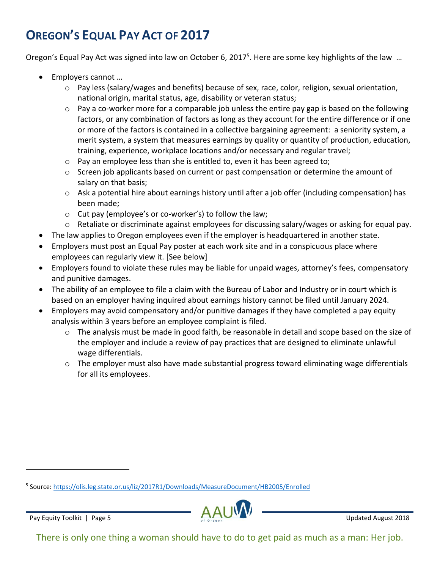# **OREGON'S EQUAL PAY ACT OF 2017**

Oregon's Equal Pay Act was signed into law on October 6, 2017<sup>5</sup>. Here are some key highlights of the law ...

- Employers cannot …
	- $\circ$  Pay less (salary/wages and benefits) because of sex, race, color, religion, sexual orientation, national origin, marital status, age, disability or veteran status;
	- $\circ$  Pay a co-worker more for a comparable job unless the entire pay gap is based on the following factors, or any combination of factors as long as they account for the entire difference or if one or more of the factors is contained in a collective bargaining agreement: a seniority system, a merit system, a system that measures earnings by quality or quantity of production, education, training, experience, workplace locations and/or necessary and regular travel;
	- o Pay an employee less than she is entitled to, even it has been agreed to;
	- $\circ$  Screen job applicants based on current or past compensation or determine the amount of salary on that basis;
	- $\circ$  Ask a potential hire about earnings history until after a job offer (including compensation) has been made;
	- o Cut pay (employee's or co-worker's) to follow the law;
	- o Retaliate or discriminate against employees for discussing salary/wages or asking for equal pay.
- The law applies to Oregon employees even if the employer is headquartered in another state.
- Employers must post an Equal Pay poster at each work site and in a conspicuous place where employees can regularly view it. [See below]
- Employers found to violate these rules may be liable for unpaid wages, attorney's fees, compensatory and punitive damages.
- The ability of an employee to file a claim with the Bureau of Labor and Industry or in court which is based on an employer having inquired about earnings history cannot be filed until January 2024.
- Employers may avoid compensatory and/or punitive damages if they have completed a pay equity analysis within 3 years before an employee complaint is filed.
	- $\circ$  The analysis must be made in good faith, be reasonable in detail and scope based on the size of the employer and include a review of pay practices that are designed to eliminate unlawful wage differentials.
	- o The employer must also have made substantial progress toward eliminating wage differentials for all its employees.

<sup>&</sup>lt;sup>5</sup> Source: <u>https://olis.leg.state.or.us/liz/2017R1/Downloads/MeasureDocument/HB2005/Enrolled</u>

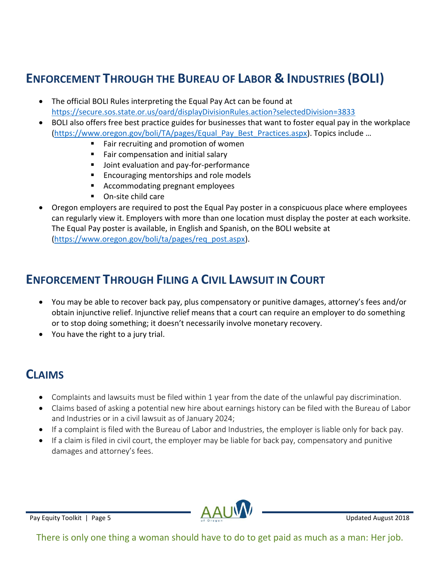# <span id="page-6-0"></span>**ENFORCEMENT THROUGH THE BUREAU OF LABOR & INDUSTRIES (BOLI)**

- The official BOLI Rules interpreting the Equal Pay Act can be found at [https://secure.sos.state.or.us/oard/displayDivisionRules.action?selectedDivision=3833](about:blank)
- BOLI also offers free best practice guides for businesses that want to foster equal pay in the workplace [\(https://www.oregon.gov/boli/TA/pages/Equal\\_Pay\\_Best\\_Practices.aspx](about:blank)). Topics include …
	- Fair recruiting and promotion of women
	- Fair compensation and initial salary
	- Joint evaluation and pay-for-performance
	- Encouraging mentorships and role models
	- Accommodating pregnant employees
	- On-site child care
- Oregon employers are required to post the Equal Pay poster in a conspicuous place where employees can regularly view it. Employers with more than one location must display the poster at each worksite. The Equal Pay poster is available, in English and Spanish, on the BOLI website at [\(https://www.oregon.gov/boli/ta/pages/req\\_post.aspx\)](about:blank).

#### <span id="page-6-1"></span>**ENFORCEMENT THROUGH FILING A CIVIL LAWSUIT IN COURT**

- You may be able to recover back pay, plus compensatory or punitive damages, attorney's fees and/or obtain injunctive relief. Injunctive relief means that a court can require an employer to do something or to stop doing something; it doesn't necessarily involve monetary recovery.
- You have the right to a jury trial.

### <span id="page-6-2"></span>**CLAIMS**

- Complaints and lawsuits must be filed within 1 year from the date of the unlawful pay discrimination.
- Claims based of asking a potential new hire about earnings history can be filed with the Bureau of Labor and Industries or in a civil lawsuit as of January 2024;
- If a complaint is filed with the Bureau of Labor and Industries, the employer is liable only for back pay.
- If a claim is filed in civil court, the employer may be liable for back pay, compensatory and punitive damages and attorney's fees.

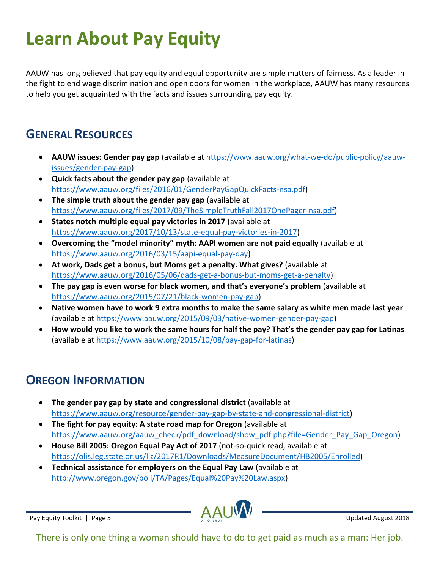# <span id="page-7-0"></span>**Learn About Pay Equity**

AAUW has long believed that pay equity and equal opportunity are simple matters of fairness. As a leader in the fight to end wage discrimination and open doors for women in the workplace, AAUW has many resources to help you get acquainted with the facts and issues surrounding pay equity.

#### <span id="page-7-1"></span>**GENERAL RESOURCES**

- **AAUW issues: Gender pay gap** (available at [https://www.aauw.org/what-we-do/public-policy/aauw](about:blank)[issues/gender-pay-gap\)](about:blank)
- **Quick facts about the gender pay gap** (available at [https://www.aauw.org/files/2016/01/GenderPayGapQuickFacts-nsa.pdf\)](about:blank)
- **The simple truth about the gender pay gap** (available at [https://www.aauw.org/files/2017/09/TheSimpleTruthFall2017OnePager-nsa.pdf\)](about:blank)
- **States notch multiple equal pay victories in 2017** (available at [https://www.aauw.org/2017/10/13/state-equal-pay-victories-in-2017\)](about:blank)
- **Overcoming the "model minority" myth: AAPI women are not paid equally** (available at [https://www.aauw.org/2016/03/15/aapi-equal-pay-day\)](about:blank)
- **At work, Dads get a bonus, but Moms get a penalty. What gives?** (available at [https://www.aauw.org/2016/05/06/dads-get-a-bonus-but-moms-get-a-penalty\)](about:blank)
- **The pay gap is even worse for black women, and that's everyone's problem** (available at [https://www.aauw.org/2015/07/21/black-women-pay-gap\)](about:blank)
- **Native women have to work 9 extra months to make the same salary as white men made last year** (available at [https://www.aauw.org/2015/09/03/native-women-gender-pay-gap\)](about:blank)
- **How would you like to work the same hours for half the pay? That's the gender pay gap for Latinas** (available at [https://www.aauw.org/2015/10/08/pay-gap-for-latinas\)](about:blank)

### <span id="page-7-2"></span>**OREGON INFORMATION**

- **The gender pay gap by state and congressional district** (available at [https://www.aauw.org/resource/gender-pay-gap-by-state-and-congressional-district\)](about:blank)
- **The fight for pay equity: A state road map for Oregon** (available at [https://www.aauw.org/aauw\\_check/pdf\\_download/show\\_pdf.php?file=Gender\\_Pay\\_Gap\\_Oregon\)](about:blank)
- **House Bill 2005: Oregon Equal Pay Act of 2017** (not-so-quick read, available at [https://olis.leg.state.or.us/liz/2017R1/Downloads/MeasureDocument/HB2005/Enrolled\)](about:blank)
- **Technical assistance for employers on the Equal Pay Law** (available at [http://www.oregon.gov/boli/TA/Pages/Equal%20Pay%20Law.aspx\)](about:blank)

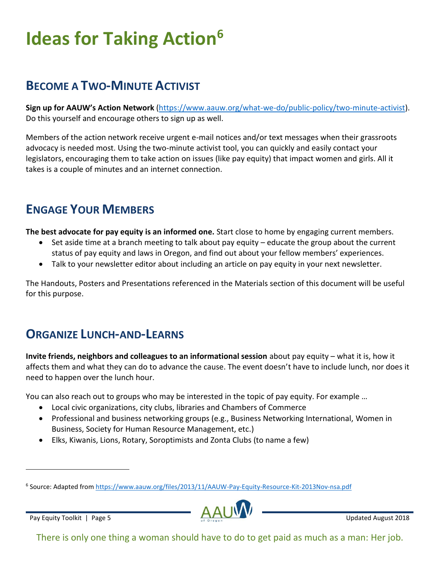# <span id="page-8-0"></span>**Ideas for Taking Action<sup>6</sup>**

### <span id="page-8-1"></span>**BECOME A TWO-MINUTE ACTIVIST**

**Sign up for AAUW's Action Network** [\(https://www.aauw.org/what-we-do/public-policy/two-minute-activist\)](about:blank). Do this yourself and encourage others to sign up as well.

Members of the action network receive urgent e-mail notices and/or text messages when their grassroots advocacy is needed most. Using the two-minute activist tool, you can quickly and easily contact your legislators, encouraging them to take action on issues (like pay equity) that impact women and girls. All it takes is a couple of minutes and an internet connection.

# <span id="page-8-2"></span>**ENGAGE YOUR MEMBERS**

**The best advocate for pay equity is an informed one.** Start close to home by engaging current members.

- Set aside time at a branch meeting to talk about pay equity educate the group about the current status of pay equity and laws in Oregon, and find out about your fellow members' experiences.
- Talk to your newsletter editor about including an article on pay equity in your next newsletter.

The Handouts, Posters and Presentations referenced in the Materials section of this document will be useful for this purpose.

### <span id="page-8-3"></span>**ORGANIZE LUNCH-AND-LEARNS**

**Invite friends, neighbors and colleagues to an informational session** about pay equity – what it is, how it affects them and what they can do to advance the cause. The event doesn't have to include lunch, nor does it need to happen over the lunch hour.

You can also reach out to groups who may be interested in the topic of pay equity. For example …

- Local civic organizations, city clubs, libraries and Chambers of Commerce
- Professional and business networking groups (e.g., Business Networking International, Women in Business, Society for Human Resource Management, etc.)
- Elks, Kiwanis, Lions, Rotary, Soroptimists and Zonta Clubs (to name a few)

<sup>&</sup>lt;sup>6</sup> Source: Adapted from [https://www.aauw.org/files/2013/11/AAUW-Pay-Equity-Resource-Kit-2013Nov-nsa.pdf](about:blank)

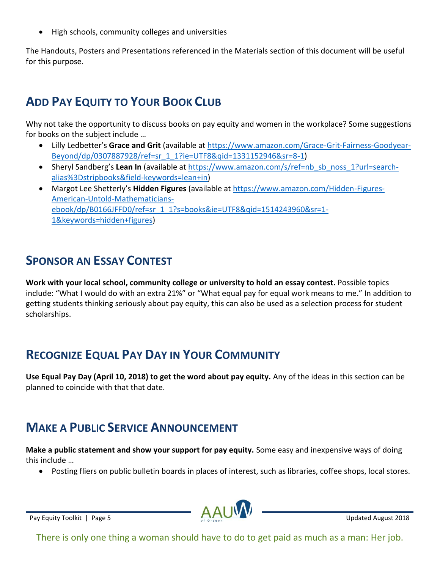• High schools, community colleges and universities

The Handouts, Posters and Presentations referenced in the Materials section of this document will be useful for this purpose.

### <span id="page-9-0"></span>**ADD PAY EQUITY TO YOUR BOOK CLUB**

Why not take the opportunity to discuss books on pay equity and women in the workplace? Some suggestions for books on the subject include …

- Lilly Ledbetter's **Grace and Grit** (available at [https://www.amazon.com/Grace-Grit-Fairness-Goodyear-](about:blank)[Beyond/dp/0307887928/ref=sr\\_1\\_1?ie=UTF8&qid=1331152946&sr=8-1\)](about:blank)
- Sheryl Sandberg's Lean In (available at https://www.amazon.com/s/ref=nb sb\_noss\_1?url=search[alias%3Dstripbooks&field-keywords=lean+in\)](about:blank)
- Margot Lee Shetterly's **Hidden Figures** (available at [https://www.amazon.com/Hidden-Figures-](about:blank)[American-Untold-Mathematicians](about:blank)[ebook/dp/B0166JFFD0/ref=sr\\_1\\_1?s=books&ie=UTF8&qid=1514243960&sr=1-](about:blank) [1&keywords=hidden+figures\)](about:blank)

### <span id="page-9-1"></span>**SPONSOR AN ESSAY CONTEST**

**Work with your local school, community college or university to hold an essay contest.** Possible topics include: "What I would do with an extra 21%" or "What equal pay for equal work means to me." In addition to getting students thinking seriously about pay equity, this can also be used as a selection process for student scholarships.

### <span id="page-9-2"></span>**RECOGNIZE EQUAL PAY DAY IN YOUR COMMUNITY**

**Use Equal Pay Day (April 10, 2018) to get the word about pay equity.** Any of the ideas in this section can be planned to coincide with that that date.

# <span id="page-9-3"></span>**MAKE A PUBLIC SERVICE ANNOUNCEMENT**

**Make a public statement and show your support for pay equity.** Some easy and inexpensive ways of doing this include …

• Posting fliers on public bulletin boards in places of interest, such as libraries, coffee shops, local stores.

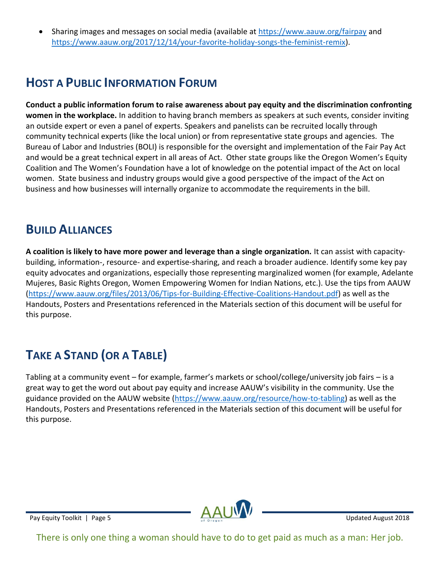• Sharing images and messages on social media (available at [https://www.aauw.org/fairpay](about:blank) and [https://www.aauw.org/2017/12/14/your-favorite-holiday-songs-the-feminist-remix\)](about:blank).

### <span id="page-10-0"></span>**HOST A PUBLIC INFORMATION FORUM**

**Conduct a public information forum to raise awareness about pay equity and the discrimination confronting women in the workplace.** In addition to having branch members as speakers at such events, consider inviting an outside expert or even a panel of experts. Speakers and panelists can be recruited locally through community technical experts (like the local union) or from representative state groups and agencies. The Bureau of Labor and Industries (BOLI) is responsible for the oversight and implementation of the Fair Pay Act and would be a great technical expert in all areas of Act. Other state groups like the Oregon Women's Equity Coalition and The Women's Foundation have a lot of knowledge on the potential impact of the Act on local women. State business and industry groups would give a good perspective of the impact of the Act on business and how businesses will internally organize to accommodate the requirements in the bill.

#### <span id="page-10-1"></span>**BUILD ALLIANCES**

**A coalition is likely to have more power and leverage than a single organization.** It can assist with capacitybuilding, information-, resource- and expertise-sharing, and reach a broader audience. Identify some key pay equity advocates and organizations, especially those representing marginalized women (for example, Adelante Mujeres, Basic Rights Oregon, Women Empowering Women for Indian Nations, etc.). Use the tips from AAUW [\(https://www.aauw.org/files/2013/06/Tips-for-Building-Effective-Coalitions-Handout.pdf\)](about:blank) as well as the Handouts, Posters and Presentations referenced in the Materials section of this document will be useful for this purpose.

# <span id="page-10-2"></span>**TAKE A STAND (OR A TABLE)**

Tabling at a community event – for example, farmer's markets or school/college/university job fairs – is a great way to get the word out about pay equity and increase AAUW's visibility in the community. Use the guidance provided on the AAUW website [\(https://www.aauw.org/resource/how-to-tabling\)](about:blank) as well as the Handouts, Posters and Presentations referenced in the Materials section of this document will be useful for this purpose.

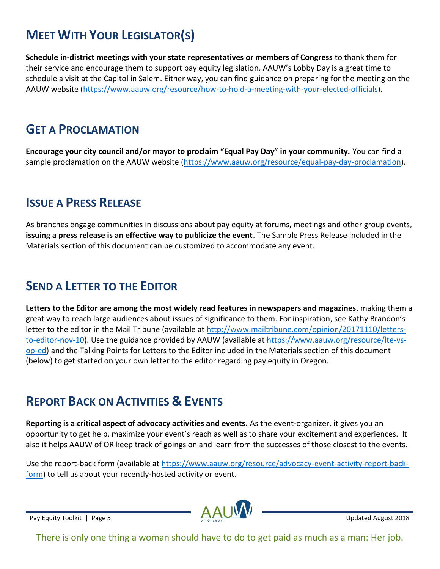# <span id="page-11-0"></span>**MEET WITH YOUR LEGISLATOR(S)**

**Schedule in-district meetings with your state representatives or members of Congress** to thank them for their service and encourage them to support pay equity legislation. AAUW's Lobby Day is a great time to schedule a visit at the Capitol in Salem. Either way, you can find guidance on preparing for the meeting on the AAUW website [\(https://www.aauw.org/resource/how-to-hold-a-meeting-with-your-elected-officials\)](about:blank).

#### <span id="page-11-1"></span>**GET A PROCLAMATION**

**Encourage your city council and/or mayor to proclaim "Equal Pay Day" in your community.** You can find a sample proclamation on the AAUW website [\(https://www.aauw.org/resource/equal-pay-day-proclamation\)](about:blank).

#### <span id="page-11-2"></span>**ISSUE A PRESS RELEASE**

As branches engage communities in discussions about pay equity at forums, meetings and other group events, **issuing a press release is an effective way to publicize the event**. The Sample Press Release included in the Materials section of this document can be customized to accommodate any event.

### <span id="page-11-3"></span>**SEND A LETTER TO THE EDITOR**

**Letters to the Editor are among the most widely read features in newspapers and magazines**, making them a great way to reach large audiences about issues of significance to them. For inspiration, see Kathy Brandon's letter to the editor in the Mail Tribune (available at [http://www.mailtribune.com/opinion/20171110/letters](about:blank)[to-editor-nov-10\)](about:blank). Use the guidance provided by AAUW (available at [https://www.aauw.org/resource/lte-vs](about:blank)[op-ed\)](about:blank) and the Talking Points for Letters to the Editor included in the Materials section of this document (below) to get started on your own letter to the editor regarding pay equity in Oregon.

### **REPORT BACK ON ACTIVITIES & EVENTS**

**Reporting is a critical aspect of advocacy activities and events.** As the event-organizer, it gives you an opportunity to get help, maximize your event's reach as well as to share your excitement and experiences. It also it helps AAUW of OR keep track of goings on and learn from the successes of those closest to the events.

Use the report-back form (available at [https://www.aauw.org/resource/advocacy-event-activity-report-back](about:blank)[form\)](about:blank) to tell us about your recently-hosted activity or event.

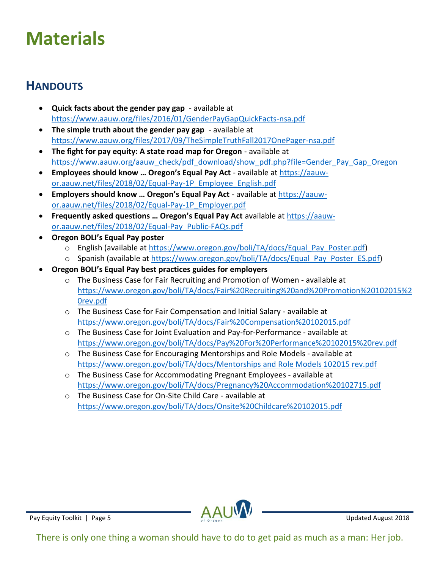# <span id="page-12-0"></span>**Materials**

### <span id="page-12-1"></span>**HANDOUTS**

- **Quick facts about the gender pay gap** available at [https://www.aauw.org/files/2016/01/GenderPayGapQuickFacts-nsa.pdf](about:blank)
- **The simple truth about the gender pay gap** available at [https://www.aauw.org/files/2017/09/TheSimpleTruthFall2017OnePager-nsa.pdf](about:blank)
- **The fight for pay equity: A state road map for Oregon** available at [https://www.aauw.org/aauw\\_check/pdf\\_download/show\\_pdf.php?file=Gender\\_Pay\\_Gap\\_Oregon](about:blank)
- **Employees should know … Oregon's Equal Pay Act** available at [https://aauw](about:blank)[or.aauw.net/files/2018/02/Equal-Pay-1P\\_Employee\\_English.pdf](about:blank)
- **Employers should know … Oregon's Equal Pay Act** available at [https://aauw](about:blank)[or.aauw.net/files/2018/02/Equal-Pay-1P\\_Employer.pdf](about:blank)
- **Frequently asked questions … Oregon's Equal Pay Act** available at [https://aauw](about:blank)[or.aauw.net/files/2018/02/Equal-Pay\\_Public-FAQs.pdf](about:blank)
- **Oregon BOLI's Equal Pay poster**
	- o English (available at [https://www.oregon.gov/boli/TA/docs/Equal\\_Pay\\_Poster.pdf\)](about:blank)
	- o Spanish (available at [https://www.oregon.gov/boli/TA/docs/Equal\\_Pay\\_Poster\\_ES.pdf\)](about:blank)
- **Oregon BOLI's Equal Pay best practices guides for employers**
	- o The Business Case for Fair Recruiting and Promotion of Women available at [https://www.oregon.gov/boli/TA/docs/Fair%20Recruiting%20and%20Promotion%20102015%2](about:blank) [0rev.pdf](about:blank)
	- o The Business Case for Fair Compensation and Initial Salary available at [https://www.oregon.gov/boli/TA/docs/Fair%20Compensation%20102015.pdf](about:blank)
	- o The Business Case for Joint Evaluation and Pay-for-Performance available at [https://www.oregon.gov/boli/TA/docs/Pay%20For%20Performance%20102015%20rev.pdf](about:blank)
	- o The Business Case for Encouraging Mentorships and Role Models available at [https://www.oregon.gov/boli/TA/docs/Mentorships and Role Models 102015 rev.pdf](about:blank)
	- o The Business Case for Accommodating Pregnant Employees available at [https://www.oregon.gov/boli/TA/docs/Pregnancy%20Accommodation%20102715.pdf](about:blank)
	- o The Business Case for On-Site Child Care available at [https://www.oregon.gov/boli/TA/docs/Onsite%20Childcare%20102015.pdf](about:blank)